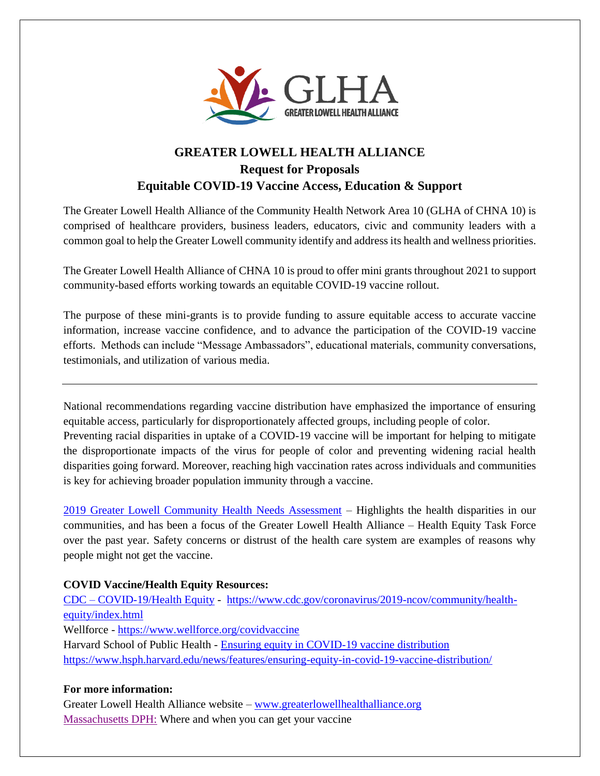

# **GREATER LOWELL HEALTH ALLIANCE Request for Proposals Equitable COVID-19 Vaccine Access, Education & Support**

The Greater Lowell Health Alliance of the Community Health Network Area 10 (GLHA of CHNA 10) is comprised of healthcare providers, business leaders, educators, civic and community leaders with a common goal to help the Greater Lowell community identify and address its health and wellness priorities.

The Greater Lowell Health Alliance of CHNA 10 is proud to offer mini grants throughout 2021 to support community-based efforts working towards an equitable COVID-19 vaccine rollout.

The purpose of these mini-grants is to provide funding to assure equitable access to accurate vaccine information, increase vaccine confidence, and to advance the participation of the COVID-19 vaccine efforts. Methods can include "Message Ambassadors", educational materials, community conversations, testimonials, and utilization of various media.

National recommendations regarding vaccine distribution have emphasized the importance of ensuring equitable access, particularly for disproportionately affected groups, including people of color. Preventing racial disparities in uptake of a COVID-19 vaccine will be important for helping to mitigate the disproportionate impacts of the virus for people of color and preventing widening racial health disparities going forward. Moreover, reaching high vaccination rates across individuals and communities is key for achieving broader population immunity through a vaccine.

[2019 Greater Lowell Community Health Needs Assessment](https://www.lowellgeneral.org/files/lghPublication/documentFile/2019_gl_comm_health_needs_final-3.pdf) – Highlights the health disparities in our communities, and has been a focus of the Greater Lowell Health Alliance – Health Equity Task Force over the past year. Safety concerns or distrust of the health care system are examples of reasons why people might not get the vaccine.

## **COVID Vaccine/Health Equity Resources:**

CDC – [COVID-19/Health Equity](https://www.cdc.gov/coronavirus/2019-ncov/community/health-equity/index.html) - [https://www.cdc.gov/coronavirus/2019-ncov/community/health](https://www.cdc.gov/coronavirus/2019-ncov/community/health-equity/index.html)[equity/index.html](https://www.cdc.gov/coronavirus/2019-ncov/community/health-equity/index.html) Wellforce - <https://www.wellforce.org/covidvaccine> Harvard School of Public Health - [Ensuring equity in COVID-19 vaccine distribution](https://www.hsph.harvard.edu/news/features/ensuring-equity-in-covid-19-vaccine-distribution/) <https://www.hsph.harvard.edu/news/features/ensuring-equity-in-covid-19-vaccine-distribution/>

## **For more information:**

Greater Lowell Health Alliance website – [www.greaterlowellhealthalliance.org](http://www.greaterlowellhealthalliance.org/) [Massachusetts DPH:](https://www.mass.gov/covid-19-vaccine) Where and when you can get your vaccine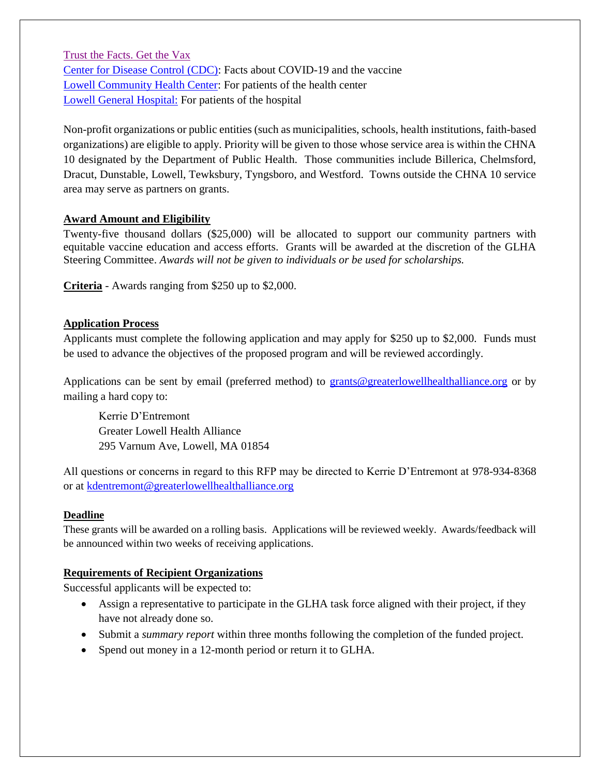[Trust the Facts. Get the Vax](https://www.mass.gov/info-details/trust-the-facts-get-the-vax) [Center for Disease Control \(CDC\):](https://www.cdc.gov/coronavirus/2019-ncov/vaccines/faq.html) Facts about COVID-19 and the vaccine [Lowell Community Health Center:](https://www.lchealth.org/patients/covid-19-updates) For patients of the health center [Lowell General Hospital:](https://www.lowellgeneral.org/care-and-services/covid-19-vaccination-appointments) For patients of the hospital

Non-profit organizations or public entities (such as municipalities, schools, health institutions, faith-based organizations) are eligible to apply. Priority will be given to those whose service area is within the CHNA 10 designated by the Department of Public Health. Those communities include Billerica, Chelmsford, Dracut, Dunstable, Lowell, Tewksbury, Tyngsboro, and Westford. Towns outside the CHNA 10 service area may serve as partners on grants.

## **Award Amount and Eligibility**

Twenty-five thousand dollars (\$25,000) will be allocated to support our community partners with equitable vaccine education and access efforts. Grants will be awarded at the discretion of the GLHA Steering Committee. *Awards will not be given to individuals or be used for scholarships.* 

**Criteria** - Awards ranging from \$250 up to \$2,000.

## **Application Process**

Applicants must complete the following application and may apply for \$250 up to \$2,000.Funds must be used to advance the objectives of the proposed program and will be reviewed accordingly.

Applications can be sent by email (preferred method) to [grants@greaterlowellhealthalliance.org](mailto:grants@greaterlowellhealthalliance.org) or by mailing a hard copy to:

Kerrie D'Entremont Greater Lowell Health Alliance 295 Varnum Ave, Lowell, MA 01854

All questions or concerns in regard to this RFP may be directed to Kerrie D'Entremont at 978-934-8368 or at [kdentremont@greaterlowellhealthalliance.org](mailto:kdentremont@greaterlowellhealthalliance.org)

## **Deadline**

These grants will be awarded on a rolling basis. Applications will be reviewed weekly. Awards/feedback will be announced within two weeks of receiving applications.

## **Requirements of Recipient Organizations**

Successful applicants will be expected to:

- Assign a representative to participate in the GLHA task force aligned with their project, if they have not already done so.
- Submit a *summary report* within three months following the completion of the funded project.
- Spend out money in a 12-month period or return it to GLHA.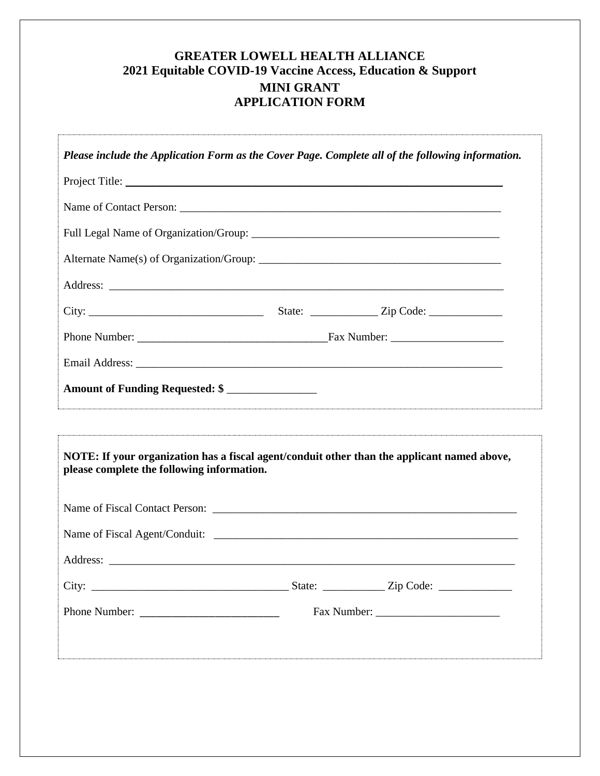## **GREATER LOWELL HEALTH ALLIANCE 2021 Equitable COVID-19 Vaccine Access, Education & Support MINI GRANT APPLICATION FORM**

| Project Title:<br>Amount of Funding Requested: \$<br>NOTE: If your organization has a fiscal agent/conduit other than the applicant named above,<br>please complete the following information.<br>Address:<br>Fax Number: | Please include the Application Form as the Cover Page. Complete all of the following information. |  |  |
|---------------------------------------------------------------------------------------------------------------------------------------------------------------------------------------------------------------------------|---------------------------------------------------------------------------------------------------|--|--|
|                                                                                                                                                                                                                           |                                                                                                   |  |  |
|                                                                                                                                                                                                                           |                                                                                                   |  |  |
|                                                                                                                                                                                                                           |                                                                                                   |  |  |
|                                                                                                                                                                                                                           |                                                                                                   |  |  |
|                                                                                                                                                                                                                           |                                                                                                   |  |  |
|                                                                                                                                                                                                                           |                                                                                                   |  |  |
|                                                                                                                                                                                                                           |                                                                                                   |  |  |
|                                                                                                                                                                                                                           |                                                                                                   |  |  |
|                                                                                                                                                                                                                           |                                                                                                   |  |  |
|                                                                                                                                                                                                                           |                                                                                                   |  |  |
|                                                                                                                                                                                                                           |                                                                                                   |  |  |
|                                                                                                                                                                                                                           |                                                                                                   |  |  |
|                                                                                                                                                                                                                           |                                                                                                   |  |  |
|                                                                                                                                                                                                                           |                                                                                                   |  |  |
|                                                                                                                                                                                                                           |                                                                                                   |  |  |
|                                                                                                                                                                                                                           |                                                                                                   |  |  |
|                                                                                                                                                                                                                           |                                                                                                   |  |  |